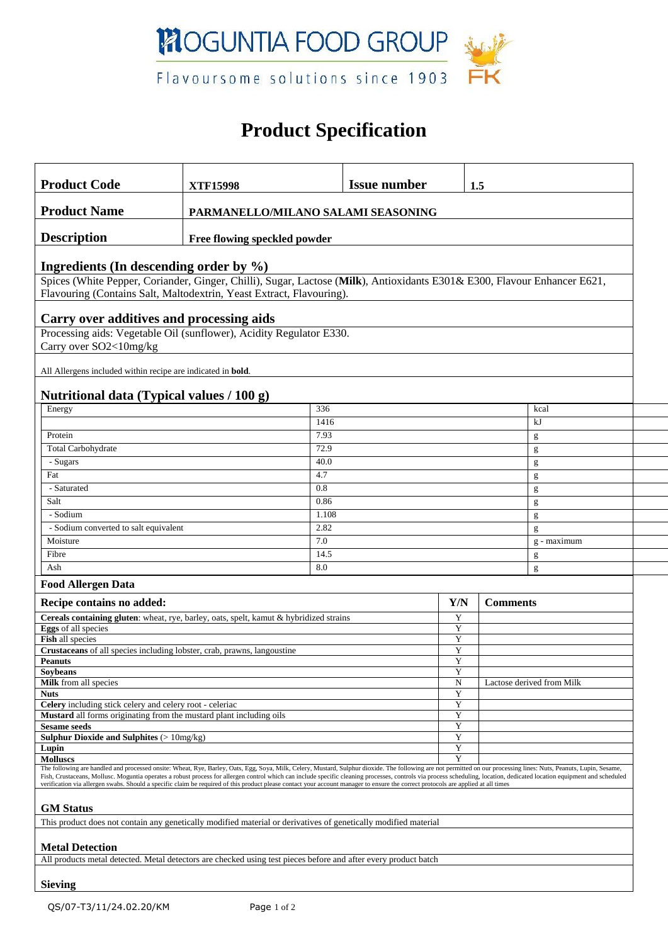

# **Product Specification**

| <b>Product Code</b>                                                                                                                                                                                                                                                                                                                                                                                                                                                                                                                                                                                                                                     | <b>XTF15998</b> |              | <b>Issue number</b> |        | 1.5                       |             |  |  |
|---------------------------------------------------------------------------------------------------------------------------------------------------------------------------------------------------------------------------------------------------------------------------------------------------------------------------------------------------------------------------------------------------------------------------------------------------------------------------------------------------------------------------------------------------------------------------------------------------------------------------------------------------------|-----------------|--------------|---------------------|--------|---------------------------|-------------|--|--|
| <b>Product Name</b><br>PARMANELLO/MILANO SALAMI SEASONING                                                                                                                                                                                                                                                                                                                                                                                                                                                                                                                                                                                               |                 |              |                     |        |                           |             |  |  |
| <b>Description</b><br>Free flowing speckled powder                                                                                                                                                                                                                                                                                                                                                                                                                                                                                                                                                                                                      |                 |              |                     |        |                           |             |  |  |
| Ingredients (In descending order by $\%$ )                                                                                                                                                                                                                                                                                                                                                                                                                                                                                                                                                                                                              |                 |              |                     |        |                           |             |  |  |
| Spices (White Pepper, Coriander, Ginger, Chilli), Sugar, Lactose (Milk), Antioxidants E301& E300, Flavour Enhancer E621,<br>Flavouring (Contains Salt, Maltodextrin, Yeast Extract, Flavouring).                                                                                                                                                                                                                                                                                                                                                                                                                                                        |                 |              |                     |        |                           |             |  |  |
|                                                                                                                                                                                                                                                                                                                                                                                                                                                                                                                                                                                                                                                         |                 |              |                     |        |                           |             |  |  |
| Carry over additives and processing aids<br>Processing aids: Vegetable Oil (sunflower), Acidity Regulator E330.                                                                                                                                                                                                                                                                                                                                                                                                                                                                                                                                         |                 |              |                     |        |                           |             |  |  |
| Carry over SO2<10mg/kg                                                                                                                                                                                                                                                                                                                                                                                                                                                                                                                                                                                                                                  |                 |              |                     |        |                           |             |  |  |
| All Allergens included within recipe are indicated in <b>bold</b> .                                                                                                                                                                                                                                                                                                                                                                                                                                                                                                                                                                                     |                 |              |                     |        |                           |             |  |  |
| Nutritional data (Typical values / 100 g)                                                                                                                                                                                                                                                                                                                                                                                                                                                                                                                                                                                                               |                 |              |                     |        |                           |             |  |  |
| Energy                                                                                                                                                                                                                                                                                                                                                                                                                                                                                                                                                                                                                                                  |                 | 336          |                     |        |                           | kcal        |  |  |
|                                                                                                                                                                                                                                                                                                                                                                                                                                                                                                                                                                                                                                                         |                 | 1416<br>7.93 |                     |        |                           | kJ          |  |  |
| Protein                                                                                                                                                                                                                                                                                                                                                                                                                                                                                                                                                                                                                                                 |                 |              |                     |        |                           | g           |  |  |
| Total Carbohydrate                                                                                                                                                                                                                                                                                                                                                                                                                                                                                                                                                                                                                                      |                 |              |                     |        |                           | g           |  |  |
| - Sugars                                                                                                                                                                                                                                                                                                                                                                                                                                                                                                                                                                                                                                                |                 | 40.0         |                     |        |                           | g           |  |  |
| Fat                                                                                                                                                                                                                                                                                                                                                                                                                                                                                                                                                                                                                                                     |                 | 4.7          |                     |        |                           | g           |  |  |
| - Saturated                                                                                                                                                                                                                                                                                                                                                                                                                                                                                                                                                                                                                                             |                 | 0.8          |                     |        |                           | g           |  |  |
| Salt                                                                                                                                                                                                                                                                                                                                                                                                                                                                                                                                                                                                                                                    |                 | 0.86         |                     |        |                           | g           |  |  |
| - Sodium<br>1.108                                                                                                                                                                                                                                                                                                                                                                                                                                                                                                                                                                                                                                       |                 |              |                     | g      |                           |             |  |  |
| - Sodium converted to salt equivalent                                                                                                                                                                                                                                                                                                                                                                                                                                                                                                                                                                                                                   |                 |              |                     | g      |                           |             |  |  |
| Moisture                                                                                                                                                                                                                                                                                                                                                                                                                                                                                                                                                                                                                                                |                 | 7.0          |                     |        |                           | g - maximum |  |  |
| Fibre                                                                                                                                                                                                                                                                                                                                                                                                                                                                                                                                                                                                                                                   |                 | 14.5         |                     |        | g                         |             |  |  |
| Ash                                                                                                                                                                                                                                                                                                                                                                                                                                                                                                                                                                                                                                                     |                 |              | 8.0                 |        |                           | g           |  |  |
| <b>Food Allergen Data</b>                                                                                                                                                                                                                                                                                                                                                                                                                                                                                                                                                                                                                               |                 |              |                     |        |                           |             |  |  |
| Recipe contains no added:                                                                                                                                                                                                                                                                                                                                                                                                                                                                                                                                                                                                                               |                 |              |                     | Y/N    | <b>Comments</b>           |             |  |  |
| Cereals containing gluten: wheat, rye, barley, oats, spelt, kamut & hybridized strains<br>Eggs of all species                                                                                                                                                                                                                                                                                                                                                                                                                                                                                                                                           |                 |              |                     | Y      |                           |             |  |  |
| Fish all species                                                                                                                                                                                                                                                                                                                                                                                                                                                                                                                                                                                                                                        |                 |              | Y<br>Y              |        |                           |             |  |  |
| Crustaceans of all species including lobster, crab, prawns, langoustine                                                                                                                                                                                                                                                                                                                                                                                                                                                                                                                                                                                 |                 |              |                     | Y      |                           |             |  |  |
| <b>Peanuts</b>                                                                                                                                                                                                                                                                                                                                                                                                                                                                                                                                                                                                                                          |                 |              |                     | Y      |                           |             |  |  |
| <b>Soybeans</b>                                                                                                                                                                                                                                                                                                                                                                                                                                                                                                                                                                                                                                         |                 | Y            |                     |        |                           |             |  |  |
| Milk from all species                                                                                                                                                                                                                                                                                                                                                                                                                                                                                                                                                                                                                                   |                 | N            |                     |        | Lactose derived from Milk |             |  |  |
| <b>Nuts</b><br>Celery including stick celery and celery root - celeriac                                                                                                                                                                                                                                                                                                                                                                                                                                                                                                                                                                                 |                 |              |                     | Y<br>Y |                           |             |  |  |
| Mustard all forms originating from the mustard plant including oils                                                                                                                                                                                                                                                                                                                                                                                                                                                                                                                                                                                     |                 |              |                     | Y      |                           |             |  |  |
| <b>Sesame seeds</b>                                                                                                                                                                                                                                                                                                                                                                                                                                                                                                                                                                                                                                     |                 |              |                     | Y      |                           |             |  |  |
| <b>Sulphur Dioxide and Sulphites (&gt; <math>10mg/kg</math>)</b>                                                                                                                                                                                                                                                                                                                                                                                                                                                                                                                                                                                        |                 |              |                     | Y      |                           |             |  |  |
| Lupin                                                                                                                                                                                                                                                                                                                                                                                                                                                                                                                                                                                                                                                   |                 |              |                     | Y      |                           |             |  |  |
| <b>Molluscs</b><br>The following are handled and processed onsite: Wheat, Rye, Barley, Oats, Egg, Soya, Milk, Celery, Mustard, Sulphur dioxide. The following are not permitted on our processing lines: Nuts, Peanuts, Lupin, Sesame,<br>Fish, Crustaceans, Mollusc. Moguntia operates a robust process for allergen control which can include specific cleaning processes, controls via process scheduling, location, dedicated location equipment and scheduled<br>verification via allergen swabs. Should a specific claim be required of this product please contact your account manager to ensure the correct protocols are applied at all times |                 |              |                     | Y      |                           |             |  |  |
| <b>GM</b> Status                                                                                                                                                                                                                                                                                                                                                                                                                                                                                                                                                                                                                                        |                 |              |                     |        |                           |             |  |  |
| This product does not contain any genetically modified material or derivatives of genetically modified material                                                                                                                                                                                                                                                                                                                                                                                                                                                                                                                                         |                 |              |                     |        |                           |             |  |  |
| <b>Metal Detection</b>                                                                                                                                                                                                                                                                                                                                                                                                                                                                                                                                                                                                                                  |                 |              |                     |        |                           |             |  |  |
| All products metal detected. Metal detectors are checked using test pieces before and after every product batch                                                                                                                                                                                                                                                                                                                                                                                                                                                                                                                                         |                 |              |                     |        |                           |             |  |  |
|                                                                                                                                                                                                                                                                                                                                                                                                                                                                                                                                                                                                                                                         |                 |              |                     |        |                           |             |  |  |
| <b>Sieving</b>                                                                                                                                                                                                                                                                                                                                                                                                                                                                                                                                                                                                                                          |                 |              |                     |        |                           |             |  |  |